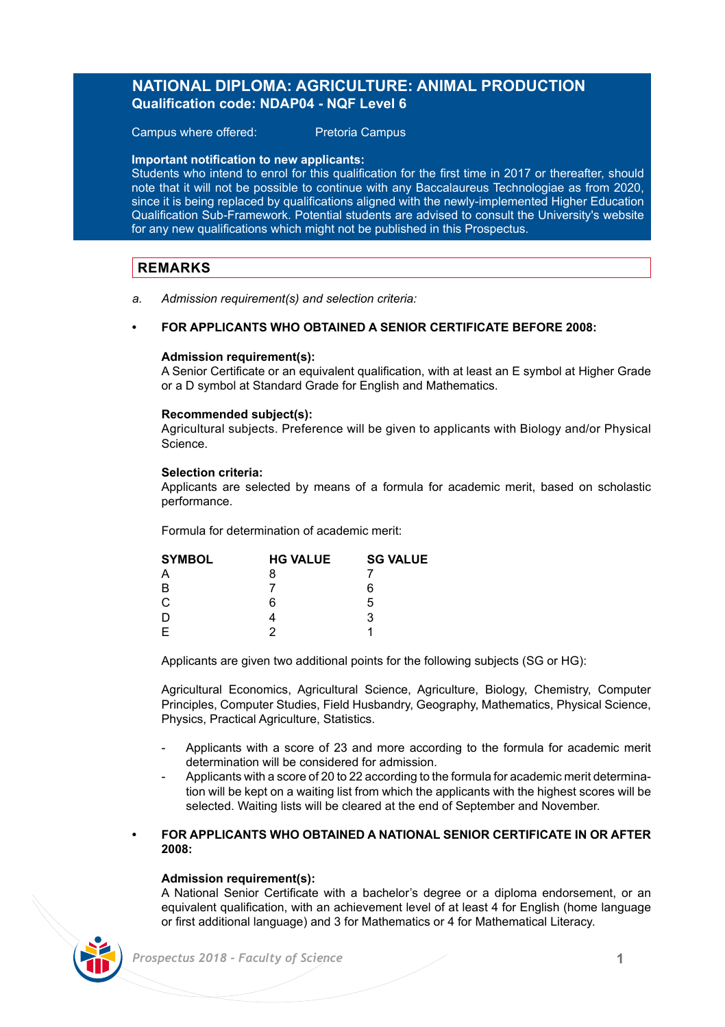# **NATIONAL DIPLOMA: AGRICULTURE: ANIMAL PRODUCTION Qualification code: NDAP04 - NQF Level 6**

Campus where offered: Pretoria Campus

### **Important notification to new applicants:**

Students who intend to enrol for this qualification for the first time in 2017 or thereafter, should note that it will not be possible to continue with any Baccalaureus Technologiae as from 2020, since it is being replaced by qualifications aligned with the newly-implemented Higher Education Qualification Sub-Framework. Potential students are advised to consult the University's website for any new qualifications which might not be published in this Prospectus.

### **REMARKS**

*a. Admission requirement(s) and selection criteria:* 

### **• FOR APPLICANTS WHO OBTAINED A SENIOR CERTIFICATE BEFORE 2008:**

### **Admission requirement(s):**

A Senior Certificate or an equivalent qualification, with at least an E symbol at Higher Grade or a D symbol at Standard Grade for English and Mathematics.

### **Recommended subject(s):**

Agricultural subjects. Preference will be given to applicants with Biology and/or Physical Science.

### **Selection criteria:**

Applicants are selected by means of a formula for academic merit, based on scholastic performance.

Formula for determination of academic merit:

| <b>SYMBOL</b> | <b>HG VALUE</b> | <b>SG VALUE</b> |
|---------------|-----------------|-----------------|
| Α             | 8               |                 |
| B             |                 | 6               |
| C             | ีค              | 5               |
| D             |                 | 3               |
| F             |                 |                 |

Applicants are given two additional points for the following subjects (SG or HG):

Agricultural Economics, Agricultural Science, Agriculture, Biology, Chemistry, Computer Principles, Computer Studies, Field Husbandry, Geography, Mathematics, Physical Science, Physics, Practical Agriculture, Statistics.

- Applicants with a score of 23 and more according to the formula for academic merit determination will be considered for admission.
- Applicants with a score of 20 to 22 according to the formula for academic merit determination will be kept on a waiting list from which the applicants with the highest scores will be selected. Waiting lists will be cleared at the end of September and November.

### **• FOR APPLICANTS WHO OBTAINED A NATIONAL SENIOR CERTIFICATE IN OR AFTER 2008:**

### **Admission requirement(s):**

A National Senior Certificate with a bachelor's degree or a diploma endorsement, or an equivalent qualification, with an achievement level of at least 4 for English (home language or first additional language) and 3 for Mathematics or 4 for Mathematical Literacy.

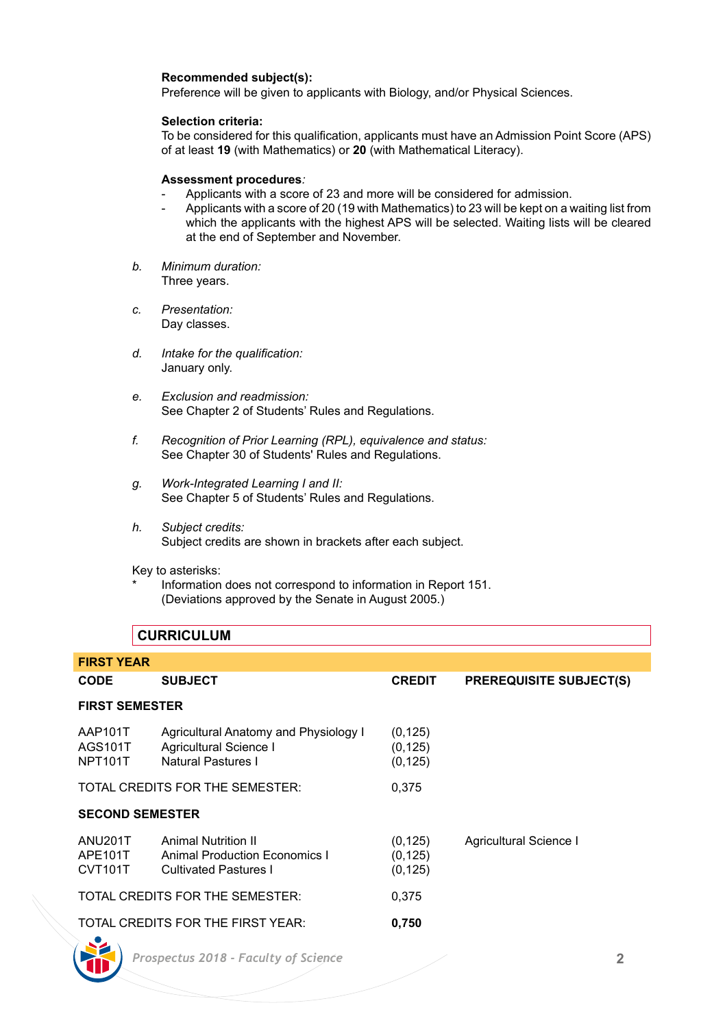### **Recommended subject(s):**

Preference will be given to applicants with Biology, and/or Physical Sciences.

### **Selection criteria:**

To be considered for this qualification, applicants must have an Admission Point Score (APS) of at least **19** (with Mathematics) or **20** (with Mathematical Literacy).

### **Assessment procedures***:*

- Applicants with a score of 23 and more will be considered for admission.
- Applicants with a score of 20 (19 with Mathematics) to 23 will be kept on a waiting list from which the applicants with the highest APS will be selected. Waiting lists will be cleared at the end of September and November.
- *b. Minimum duration:* Three years.
- *c. Presentation:* Day classes.
- *d. Intake for the qualification:* January only.
- *e. Exclusion and readmission:* See Chapter 2 of Students' Rules and Regulations.
- *f. Recognition of Prior Learning (RPL), equivalence and status:* See Chapter 30 of Students' Rules and Regulations.
- *g. Work-Integrated Learning I and II:* See Chapter 5 of Students' Rules and Regulations.
- *h. Subject credits:* Subject credits are shown in brackets after each subject.

Key to asterisks:

Information does not correspond to information in Report 151. (Deviations approved by the Senate in August 2005.)

# **CURRICULUM**

| <b>FIRST YEAR</b>                                                    |                                                                                             |                                  |                                |  |  |
|----------------------------------------------------------------------|---------------------------------------------------------------------------------------------|----------------------------------|--------------------------------|--|--|
| <b>CODE</b>                                                          | <b>SUBJECT</b>                                                                              | <b>CREDIT</b>                    | <b>PREREQUISITE SUBJECT(S)</b> |  |  |
| <b>FIRST SEMESTER</b>                                                |                                                                                             |                                  |                                |  |  |
| AAP101T<br>AGS101T<br><b>NPT101T</b>                                 | Agricultural Anatomy and Physiology I<br>Agricultural Science I<br>Natural Pastures I       | (0, 125)<br>(0, 125)<br>(0, 125) |                                |  |  |
|                                                                      | TOTAL CREDITS FOR THE SEMESTER:                                                             | 0.375                            |                                |  |  |
| <b>SECOND SEMESTER</b>                                               |                                                                                             |                                  |                                |  |  |
| ANU201T<br>APE101T<br>CVT101T                                        | <b>Animal Nutrition II</b><br>Animal Production Economics I<br><b>Cultivated Pastures I</b> | (0, 125)<br>(0, 125)<br>(0, 125) | Agricultural Science I         |  |  |
|                                                                      | TOTAL CREDITS FOR THE SEMESTER:                                                             | 0.375                            |                                |  |  |
| TOTAL CREDITS FOR THE FIRST YEAR:<br>0,750<br>77. LEWIS CO., LANSING |                                                                                             |                                  |                                |  |  |

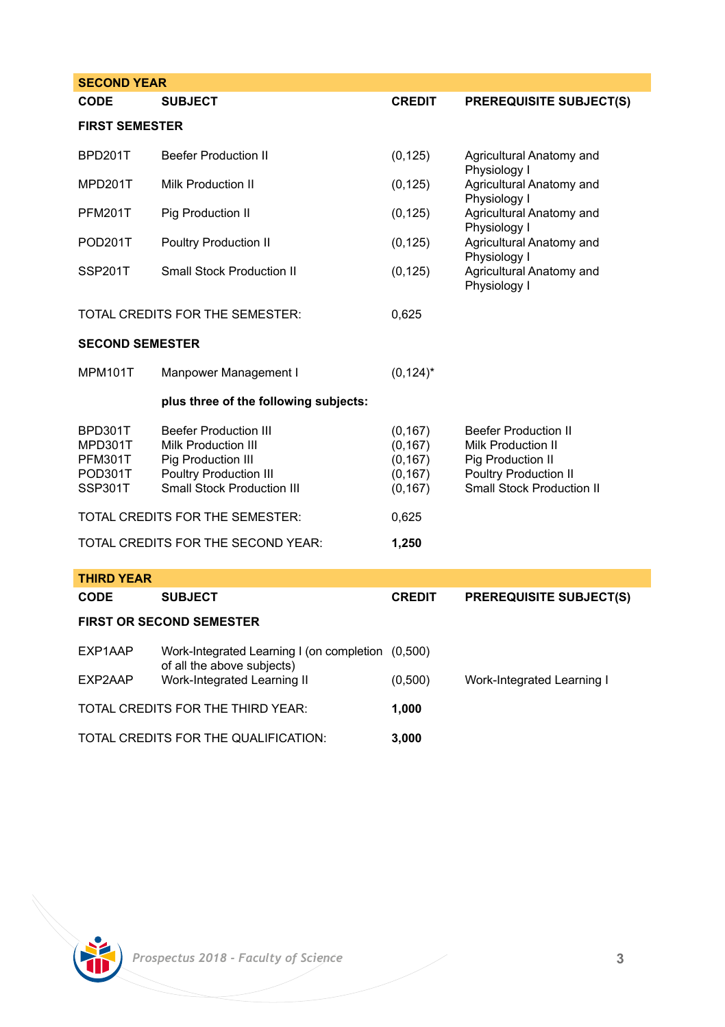| <b>SECOND YEAR</b>                                  |                                                                                                                                                 |                                                          |                                                                                                                                            |  |  |
|-----------------------------------------------------|-------------------------------------------------------------------------------------------------------------------------------------------------|----------------------------------------------------------|--------------------------------------------------------------------------------------------------------------------------------------------|--|--|
| CODE                                                | <b>SUBJECT</b>                                                                                                                                  | <b>CREDIT</b>                                            | <b>PREREQUISITE SUBJECT(S)</b>                                                                                                             |  |  |
| <b>FIRST SEMESTER</b>                               |                                                                                                                                                 |                                                          |                                                                                                                                            |  |  |
| BPD201T                                             | <b>Beefer Production II</b>                                                                                                                     | (0, 125)                                                 | Agricultural Anatomy and<br>Physiology I                                                                                                   |  |  |
| MPD201T                                             | <b>Milk Production II</b>                                                                                                                       | (0, 125)                                                 | Agricultural Anatomy and<br>Physiology I                                                                                                   |  |  |
| <b>PFM201T</b>                                      | Pig Production II                                                                                                                               | (0, 125)                                                 | Agricultural Anatomy and<br>Physiology I<br>Agricultural Anatomy and                                                                       |  |  |
| POD201T                                             | Poultry Production II                                                                                                                           | (0, 125)                                                 |                                                                                                                                            |  |  |
| <b>SSP201T</b>                                      | <b>Small Stock Production II</b>                                                                                                                | (0, 125)                                                 | Physiology I<br>Agricultural Anatomy and<br>Physiology I                                                                                   |  |  |
|                                                     | TOTAL CREDITS FOR THE SEMESTER:                                                                                                                 | 0,625                                                    |                                                                                                                                            |  |  |
| <b>SECOND SEMESTER</b>                              |                                                                                                                                                 |                                                          |                                                                                                                                            |  |  |
| <b>MPM101T</b>                                      | Manpower Management I                                                                                                                           | $(0, 124)^*$                                             |                                                                                                                                            |  |  |
|                                                     | plus three of the following subjects:                                                                                                           |                                                          |                                                                                                                                            |  |  |
| BPD301T<br>MPD301T<br>PFM301T<br>POD301T<br>SSP301T | <b>Beefer Production III</b><br><b>Milk Production III</b><br>Pig Production III<br>Poultry Production III<br><b>Small Stock Production III</b> | (0, 167)<br>(0, 167)<br>(0, 167)<br>(0, 167)<br>(0, 167) | <b>Beefer Production II</b><br><b>Milk Production II</b><br>Pig Production II<br>Poultry Production II<br><b>Small Stock Production II</b> |  |  |
| TOTAL CREDITS FOR THE SEMESTER:                     |                                                                                                                                                 | 0,625                                                    |                                                                                                                                            |  |  |
| TOTAL CREDITS FOR THE SECOND YEAR:                  |                                                                                                                                                 | 1,250                                                    |                                                                                                                                            |  |  |
| <b>THIRD YEAR</b>                                   |                                                                                                                                                 |                                                          |                                                                                                                                            |  |  |
| CODE                                                | <b>SUBJECT</b>                                                                                                                                  | <b>CREDIT</b>                                            | <b>PREREQUISITE SUBJECT(S)</b>                                                                                                             |  |  |
| <b>FIRST OR SECOND SEMESTER</b>                     |                                                                                                                                                 |                                                          |                                                                                                                                            |  |  |
| EXP1AAP                                             | Work-Integrated Learning I (on completion (0,500)<br>of all the above subjects)                                                                 |                                                          |                                                                                                                                            |  |  |
| EXP2AAP                                             | Work-Integrated Learning II                                                                                                                     | (0,500)                                                  | Work-Integrated Learning I                                                                                                                 |  |  |
| TOTAL CREDITS FOR THE THIRD YEAR:                   |                                                                                                                                                 | 1,000                                                    |                                                                                                                                            |  |  |
| TOTAL CREDITS FOR THE QUALIFICATION:                |                                                                                                                                                 | 3.000                                                    |                                                                                                                                            |  |  |

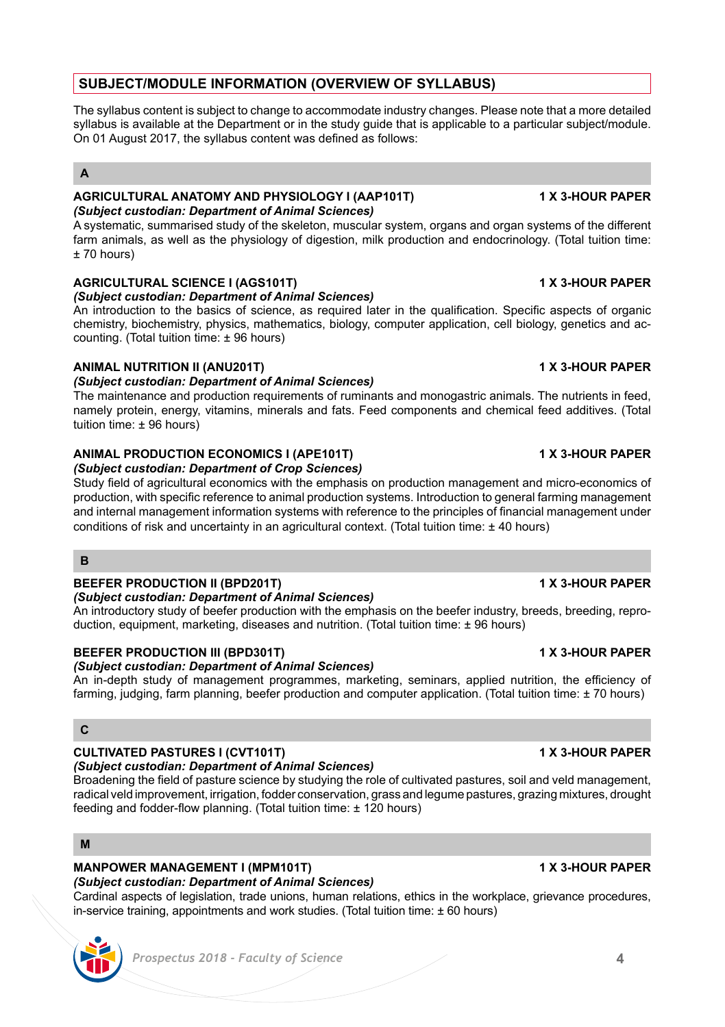# **SUBJECT/MODULE INFORMATION (OVERVIEW OF SYLLABUS)**

The syllabus content is subject to change to accommodate industry changes. Please note that a more detailed syllabus is available at the Department or in the study guide that is applicable to a particular subject/module. On 01 August 2017, the syllabus content was defined as follows:

# **A**

### **AGRICULTURAL ANATOMY AND PHYSIOLOGY I (AAP101T) 1 X 3-HOUR PAPER** *(Subject custodian: Department of Animal Sciences)*

A systematic, summarised study of the skeleton, muscular system, organs and organ systems of the different farm animals, as well as the physiology of digestion, milk production and endocrinology. (Total tuition time:  $+70$  hours)

# **AGRICULTURAL SCIENCE I (AGS101T) 1 X 3-HOUR PAPER**

*(Subject custodian: Department of Animal Sciences)*

An introduction to the basics of science, as required later in the qualification. Specific aspects of organic chemistry, biochemistry, physics, mathematics, biology, computer application, cell biology, genetics and accounting. (Total tuition time: ± 96 hours)

## **ANIMAL NUTRITION II (ANU201T) 1 X 3-HOUR PAPER**

### *(Subject custodian: Department of Animal Sciences)*

The maintenance and production requirements of ruminants and monogastric animals. The nutrients in feed, namely protein, energy, vitamins, minerals and fats. Feed components and chemical feed additives. (Total tuition time: ± 96 hours)

### **ANIMAL PRODUCTION ECONOMICS I (APE101T) 1 X 3-HOUR PAPER** *(Subject custodian: Department of Crop Sciences)*

Study field of agricultural economics with the emphasis on production management and micro-economics of production, with specific reference to animal production systems. Introduction to general farming management and internal management information systems with reference to the principles of financial management under conditions of risk and uncertainty in an agricultural context. (Total tuition time: ± 40 hours)

## **B**

# **BEEFER PRODUCTION II (BPD201T) 1 X 3-HOUR PAPER**

### *(Subject custodian: Department of Animal Sciences)*

An introductory study of beefer production with the emphasis on the beefer industry, breeds, breeding, reproduction, equipment, marketing, diseases and nutrition. (Total tuition time: ± 96 hours)

## **BEEFER PRODUCTION III (BPD301T) 1 X 3-HOUR PAPER**

## *(Subject custodian: Department of Animal Sciences)*

An in-depth study of management programmes, marketing, seminars, applied nutrition, the efficiency of farming, judging, farm planning, beefer production and computer application. (Total tuition time: ± 70 hours)

# **C**

# **CULTIVATED PASTURES I (CVT101T) 1 X 3-HOUR PAPER**

# *(Subject custodian: Department of Animal Sciences)*

Broadening the field of pasture science by studying the role of cultivated pastures, soil and veld management, radical veld improvement, irrigation, fodder conservation, grass and legume pastures, grazing mixtures, drought feeding and fodder-flow planning. (Total tuition time: ± 120 hours)

# **M**

# **MANPOWER MANAGEMENT I (MPM101T) 1 X 3-HOUR PAPER**

# *(Subject custodian: Department of Animal Sciences)*

Cardinal aspects of legislation, trade unions, human relations, ethics in the workplace, grievance procedures, in-service training, appointments and work studies. (Total tuition time: ± 60 hours)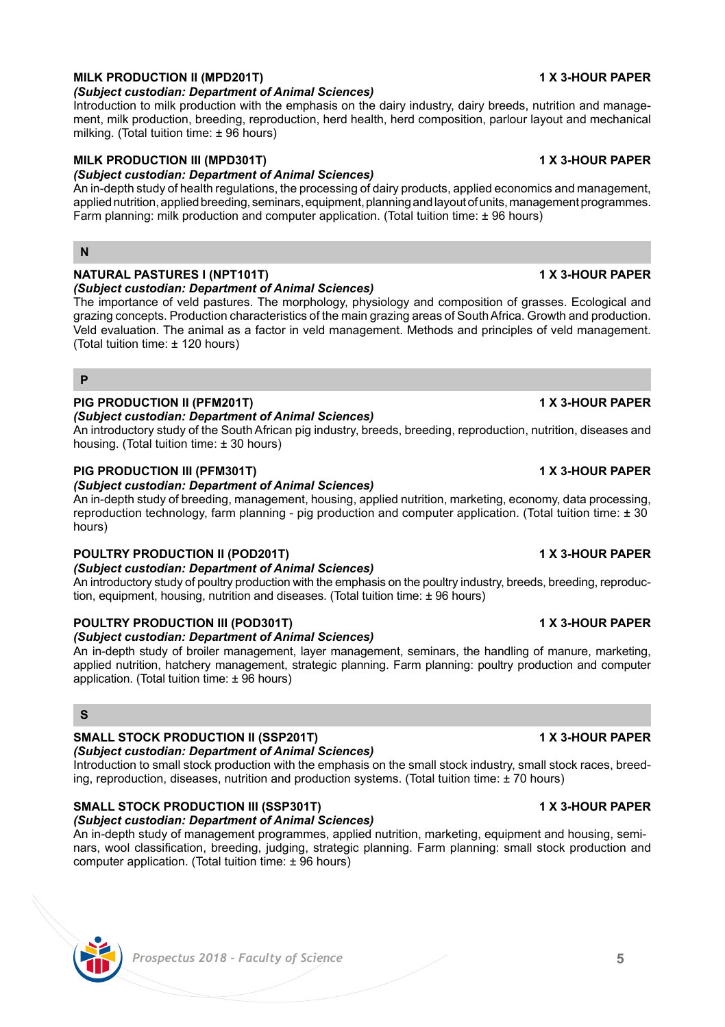# **MILK PRODUCTION II (MPD201T) 1 X 3-HOUR PAPER**

*(Subject custodian: Department of Animal Sciences)* Introduction to milk production with the emphasis on the dairy industry, dairy breeds, nutrition and manage-

ment, milk production, breeding, reproduction, herd health, herd composition, parlour layout and mechanical milking. (Total tuition time: ± 96 hours)

# **MILK PRODUCTION III (MPD301T) 1 X 3-HOUR PAPER**

# *(Subject custodian: Department of Animal Sciences)*

An in-depth study of health regulations, the processing of dairy products, applied economics and management, applied nutrition, applied breeding, seminars, equipment, planning and layout of units, management programmes. Farm planning: milk production and computer application. (Total tuition time: ± 96 hours)

### **N**

### **NATURAL PASTURES I (NPT101T) 1 X 3-HOUR PAPER** *(Subject custodian: Department of Animal Sciences)*

The importance of veld pastures. The morphology, physiology and composition of grasses. Ecological and grazing concepts. Production characteristics of the main grazing areas of South Africa. Growth and production. Veld evaluation. The animal as a factor in veld management. Methods and principles of veld management. (Total tuition time: ± 120 hours)

### **P**

# **PIG PRODUCTION II (PFM201T) 1 X 3-HOUR PAPER**

### *(Subject custodian: Department of Animal Sciences)*

An introductory study of the South African pig industry, breeds, breeding, reproduction, nutrition, diseases and housing. (Total tuition time: ± 30 hours)

## **PIG PRODUCTION III (PFM301T) 1 X 3-HOUR PAPER**

### *(Subject custodian: Department of Animal Sciences)*

An in-depth study of breeding, management, housing, applied nutrition, marketing, economy, data processing, reproduction technology, farm planning - pig production and computer application. (Total tuition time: ± 30 hours)

# **POULTRY PRODUCTION II (POD201T) 1 X 3-HOUR PAPER**

### *(Subject custodian: Department of Animal Sciences)*

An introductory study of poultry production with the emphasis on the poultry industry, breeds, breeding, reproduction, equipment, housing, nutrition and diseases. (Total tuition time: ± 96 hours)

# **POULTRY PRODUCTION III (POD301T) 1 X 3-HOUR PAPER**

## *(Subject custodian: Department of Animal Sciences)*

An in-depth study of broiler management, layer management, seminars, the handling of manure, marketing, applied nutrition, hatchery management, strategic planning. Farm planning: poultry production and computer application. (Total tuition time: ± 96 hours)

## **S**

# **SMALL STOCK PRODUCTION II (SSP201T) 1 X 3-HOUR PAPER**

# *(Subject custodian: Department of Animal Sciences)*

Introduction to small stock production with the emphasis on the small stock industry, small stock races, breeding, reproduction, diseases, nutrition and production systems. (Total tuition time: ± 70 hours)

### **SMALL STOCK PRODUCTION III (SSP301T) 1 X 3-HOUR PAPER** *(Subject custodian: Department of Animal Sciences)*

An in-depth study of management programmes, applied nutrition, marketing, equipment and housing, seminars, wool classification, breeding, judging, strategic planning. Farm planning: small stock production and computer application. (Total tuition time: ± 96 hours)